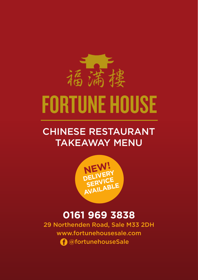

## CHINESE RESTAURANT TAKEAWAY MENU



## **0161 969 3838**

29 Northenden Road, Sale M33 2DH www.fortunehousesale.com @fortunehouseSale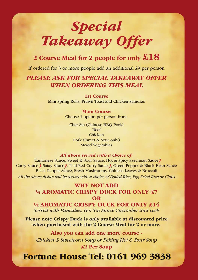## *Special Takeaway Offer*

### **2 Course Meal for 2 people for only £18**

If ordered for 3 or more people add an additional £9 per person

### *PLEASE ASK FOR SPECIAL TAKEAWAY OFFER WHEN ORDERING THIS MEAL*

**1st Course** Mini Spring Rolls, Prawn Toast and Chicken Samosas

#### **Main Course**

Choose 1 option per person from:

Char Siu (Chinese BBQ Pork) Beef Chicken Pork (Sweet & Sour only) Mixed Vegetables

#### *All above served with a choice of:*

Cantonese Sauce, Sweet & Sour Sauce, Hot & Spicy Szechuan Sauce Curry Sauce , Satay Sauce , Thai Red Curry Sauce , Green Pepper & Black Bean Sauce Black Pepper Sauce, Fresh Mushrooms, Chinese Leaves & Broccoli *All the above dishes will be served with a choice of Boiled Rice, Egg Fried Rice or Chips*

> **WHY NOT ADD ¼ AROMATIC CRISPY DUCK FOR ONLY £7 OR**

**½ AROMATIC CRISPY DUCK FOR ONLY £14** *Served with Pancakes, Hoi Sin Sauce Cucumber and Leek*

**Please note Crispy Duck is only available at discounted price when purchased with the 2 Course Meal for 2 or more.**

**Also you can add one more course -**  *Chicken & Sweetcorn Soup or Peking Hot & Sour Soup* **£2 Per Soup**

## **Fortune House Tel: 0161 969 3838 Fortune House Tel: 0161 969 3838**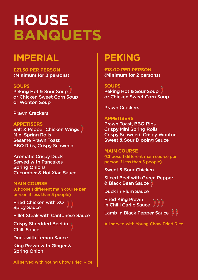# **HOUSE BANQUETS**

## **IMPERIAL**

**£21.50 PER PERSON (Minimum for 2 persons)**

#### **SOUPS**

Peking Hot & Sour Soup or Chicken Sweet Corn Soup or Wonton Soup

Prawn Crackers

**APPETISERS** Salt & Pepper Chicken Wings **Mini Spring Rolls** Sesame Prawn Toast BBQ Ribs, Crispy Seaweed

Aromatic Crispy Duck Served with Pancakes Spring Onions Cucumber & Hoi Xian Sauce

**MAIN COURSE** (Choose 1 different main course per person if less than 5 people)

Fried Chicken with XO Spicy Sauce

Fillet Steak with Cantonese Sauce

Crispy Shredded Beef in  $\sqrt{ }$ Chilli Sauce

Duck with Lemon Sauce

King Prawn with Ginger & Spring Onion

All served with Young Chow Fried Rice

## **PEKING**

**£18.00 PER PERSON (Minimum for 2 persons)**

**SOUPS** Peking Hot & Sour Soup or Chicken Sweet Corn Soup

Prawn Crackers

#### **APPETISERS**

Prawn Toast, BBQ Ribs Crispy Mini Spring Rolls Crispy Seaweed, Crispy Wonton Sweet & Sour Dipping Sauce

**MAIN COURSE** (Choose 1 different main course per person if less than 5 people)

Sweet & Sour Chicken

Sliced Beef with Green Pepper & Black Bean Sauce

Duck in Plum Sauce

Fried King Prawn in Chilli Garlic Sauce

Lamb in Black Pepper Sauce

All served with Young Chow Fried Rice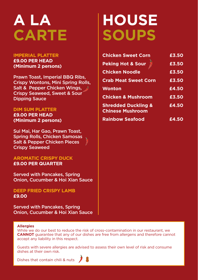# **A LA CARTE**

#### **IMPERIAL PLATTER £9.00 PER HEAD (Minimum 2 persons)**

Prawn Toast, Imperial BBQ Ribs, Crispy Wontons, Mini Spring Rolls, Salt & Pepper Chicken Wings, Crispy Seaweed, Sweet & Sour Dipping Sauce

#### **DIM SUM PLATTER**

**£9.00 PER HEAD (Minimum 2 persons)** 

Sui Mai, Har Gao, Prawn Toast, Spring Rolls, Chicken Samosas Salt & Pepper Chicken Pieces Crispy Seaweed

**AROMATIC CRISPY DUCK £9.00 PER QUARTER**

Served with Pancakes, Spring Onion, Cucumber & Hoi Xian Sauce

**DEEP FRIED CRISPY LAMB £9.00**

Served with Pancakes, Spring Onion, Cucumber & Hoi Xian Sauce

# **HOUSE SOUPS**

| <b>Chicken Sweet Corn</b>                                 | £3.50 |
|-----------------------------------------------------------|-------|
| <b>Peking Hot &amp; Sour</b>                              | £3.50 |
| <b>Chicken Noodle</b>                                     | £3.50 |
| <b>Crab Meat Sweet Corn</b>                               | £3.50 |
| <b>Wonton</b>                                             | £4.50 |
| <b>Chicken &amp; Mushroom</b>                             | £3.50 |
| <b>Shredded Duckling &amp;</b><br><b>Chinese Mushroom</b> | £4.50 |
| <b>Rainbow Seafood</b>                                    | £4.50 |

#### **Allergies**

While we do our best to reduce the risk of cross-contamination in our restaurant, we **CANNOT** guarantee that any of our dishes are free from allergens and therefore cannot accept any liability in this respect.

Guests with severe allergies are advised to assess their own level of risk and consume dishes at their own risk.

Dishes that contain chili & nuts

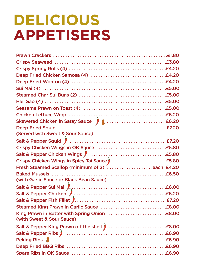# **DELICIOUS APPETISERS**

| Skewered Chicken in Satay Sauce 2 (Martin 1997) 1 (Martin 1997) 1 (Martin 1998) 1 (Martin 1998) 1 (Martin 199 |  |
|---------------------------------------------------------------------------------------------------------------|--|
|                                                                                                               |  |
| (Served with Sweet & Sour Sauce)                                                                              |  |
|                                                                                                               |  |
|                                                                                                               |  |
|                                                                                                               |  |
| Crispy Chicken Wings in Spicy Tai Sauce<br>Fresh Steamed Scallop (minimum of 2) each £4.20                    |  |
|                                                                                                               |  |
|                                                                                                               |  |
| (with Garlic Sauce or Black Bean Sauce)                                                                       |  |
|                                                                                                               |  |
|                                                                                                               |  |
|                                                                                                               |  |
|                                                                                                               |  |
|                                                                                                               |  |
| (with Sweet & Sour Sauce)                                                                                     |  |
|                                                                                                               |  |
|                                                                                                               |  |
|                                                                                                               |  |
|                                                                                                               |  |
|                                                                                                               |  |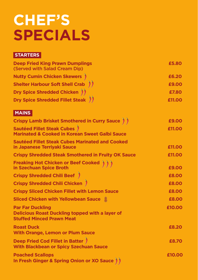# **CHEF'S SPECIALS**

#### **STARTERS**

| <b>Deep Fried King Prawn Dumplings</b><br>(Served with Salad Cream Dip) | £5.80  |
|-------------------------------------------------------------------------|--------|
| <b>Nutty Cumin Chicken Skewers</b> )                                    | £6.20  |
| Shelter Harbour Soft Shell Crab )                                       | £9.00  |
| Dry Spice Shredded Chicken ) )                                          | £7.80  |
| <b>Dry Spice Shredded Fillet Steak (1)</b>                              | £11.00 |

#### **MAINS**

| <b>Crispy Lamb Brisket Smothered in Curry Sauce ) )</b>                                                               | £9.00  |
|-----------------------------------------------------------------------------------------------------------------------|--------|
| Sautéed Fillet Steak Cubes )<br><b>Marinated &amp; Cooked in Korean Sweet Galbi Sauce</b>                             | £11.00 |
| <b>Sautéed Fillet Steak Cubes Marinated and Cooked</b><br>in Japanese Terriyaki Sauce                                 | £11.00 |
| <b>Crispy Shredded Steak Smothered in Fruity OK Sauce</b>                                                             | £11.00 |
| <b>Freaking Hot Chicken or Beef Cooked<br/>in Szechuan Spice Broth</b><br>, , ,                                       | £9.00  |
| <b>Crispy Shredded Chili Beef</b> )                                                                                   | £8.00  |
| <b>Crispy Shredded Chili Chicken</b> )                                                                                | £8.00  |
| <b>Crispy Sliced Chicken Fillet with Lemon Sauce</b>                                                                  | £8.00  |
| Sliced Chicken with Yellowbean Sauce                                                                                  | £8.00  |
| <b>Par Far Duckling</b><br><b>Delicious Roast Duckling topped with a layer of</b><br><b>Stuffed Minced Prawn Meat</b> | £10.00 |
| <b>Roast Duck</b><br><b>With Orange, Lemon or Plum Sauce</b>                                                          | £8.20  |
| Deep Fried Cod Fillet in Batter )<br><b>With Blackbean or Spicy Szechuan Sauce</b>                                    | £8.70  |
| <b>Poached Scallops</b><br>In Fresh Ginger & Spring Onion or XO Sauce ) )                                             | £10.00 |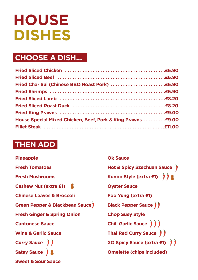# **HOUSE DISHES**

## **CHOOSE A DISH...**

| House Special Mixed Chicken, Beef, Pork & King Prawns  . £9.00 |  |
|----------------------------------------------------------------|--|
|                                                                |  |

### **THEN ADD**

| <b>Pineapple</b>                       |
|----------------------------------------|
| <b>Fresh Tomatoes</b>                  |
| <b>Fresh Mushrooms</b>                 |
| Cashew Nut (extra £1)                  |
| <b>Chinese Leaves &amp; Broccoli</b>   |
| Green Pepper & Blackbean Sauce)        |
| <b>Fresh Ginger &amp; Spring Onion</b> |
| <b>Cantonese Sauce</b>                 |
| <b>Wine &amp; Garlic Sauce</b>         |
| Curry Sauce ) )                        |
| Satay Sauce )                          |
| <b>Sweet &amp; Sour Sauce</b>          |

**Ok Sauce Hot & Spicy Szechuan Sauce Kunbo Style (extra £1) Oyster Sauce Foo Yung (extra £1) Black Pepper Sauce ) ) Chop Suey Style Chili Garlic Sauce**  $\left(\begin{array}{c} 1 \end{array}\right)$ **Thai Red Curry Sauce XO Spicy Sauce (extra £1) Omelette (chips included)**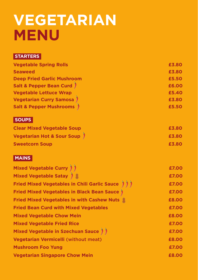## **VEGETARIAN MENU**

#### **STARTERS**

| <b>Vegetable Spring Rolls</b>        | £3.80 |
|--------------------------------------|-------|
| <b>Seaweed</b>                       | £3.80 |
| <b>Deep Fried Garlic Mushroom</b>    | £5.50 |
| <b>Salt &amp; Pepper Bean Curd</b> ) | £6.00 |
| <b>Vegetable Lettuce Wrap</b>        | £5.40 |
| <b>Vegetarian Curry Samosa</b> )     | £3.80 |
| <b>Salt &amp; Pepper Mushrooms</b>   | £5.50 |
|                                      |       |

### **SOUPS**

| <b>Clear Mixed Vegetable Soup</b> | £3.80 |
|-----------------------------------|-------|
| Vegetarian Hot & Sour Soup )      | £3.80 |
| <b>Sweetcorn Soup</b>             | £3.80 |

### **MAINS**

| Mixed Vegetable Curry ) )                                 | £7.00 |
|-----------------------------------------------------------|-------|
| Mixed Vegetable Satay                                     | £7.00 |
| <b>Fried Mixed Vegetables in Chili Garlic Sauce      </b> | £7.00 |
| <b>Fried Mixed Vegetables in Black Bean Sauce</b> )       | £7.00 |
| Fried Mixed Vegetables in with Cashew Nuts                | £8.00 |
| <b>Fried Bean Curd with Mixed Vegetables</b>              | £7.00 |
| <b>Mixed Vegetable Chow Mein</b>                          | £8.00 |
| <b>Mixed Vegetable Fried Rice</b>                         | £7.00 |
| Mixed Vegetable in Szechuan Sauce )                       | £7.00 |
| <b>Vegetarian Vermicelli (without meat)</b>               | £8.00 |
| <b>Mushroom Foo Yung</b>                                  | £7.00 |
| <b>Vegetarian Singapore Chow Mein</b>                     | £8.00 |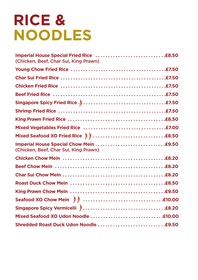# **RICE & NOODLES**

| (Chicken, Beef, Char Sui, King Prawn) |  |
|---------------------------------------|--|
|                                       |  |
|                                       |  |
|                                       |  |
|                                       |  |
|                                       |  |
|                                       |  |
|                                       |  |
|                                       |  |
|                                       |  |
| (Chicken, Beef, Char Sui, King Prawn) |  |
|                                       |  |
|                                       |  |
|                                       |  |
|                                       |  |
|                                       |  |
|                                       |  |
|                                       |  |
|                                       |  |
|                                       |  |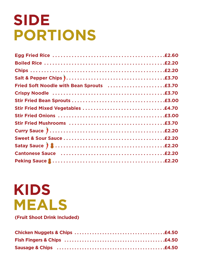# **SIDE PORTIONS**

| Cantonese Sauce (and all and all and all and all and all and all and all and all and all and all and all and a |
|----------------------------------------------------------------------------------------------------------------|
| Peking Sauce <b>Communication (2018)</b> Peking Sauce <b>Communication</b> (2.20                               |

# **KIDS MEALS**

**(Fruit Shoot Drink Included)**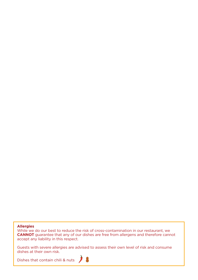#### **Allergies**

While we do our best to reduce the risk of cross-contamination in our restaurant, we **CANNOT** guarantee that any of our dishes are free from allergens and therefore cannot accept any liability in this respect.

Guests with severe allergies are advised to assess their own level of risk and consume dishes at their own risk.

Dishes that contain chili & nuts  $\int$